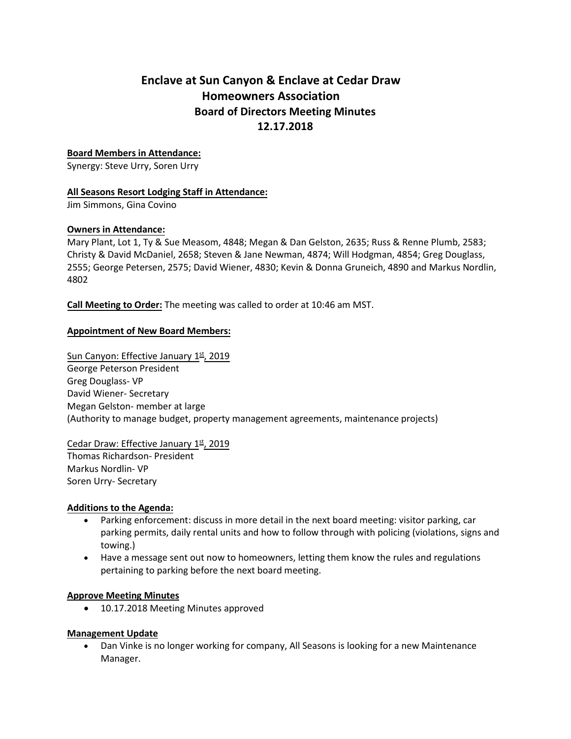# **Enclave at Sun Canyon & Enclave at Cedar Draw Homeowners Association Board of Directors Meeting Minutes 12.17.2018**

### **Board Members in Attendance:**

Synergy: Steve Urry, Soren Urry

#### **All Seasons Resort Lodging Staff in Attendance:**

Jim Simmons, Gina Covino

#### **Owners in Attendance:**

Mary Plant, Lot 1, Ty & Sue Measom, 4848; Megan & Dan Gelston, 2635; Russ & Renne Plumb, 2583; Christy & David McDaniel, 2658; Steven & Jane Newman, 4874; Will Hodgman, 4854; Greg Douglass, 2555; George Petersen, 2575; David Wiener, 4830; Kevin & Donna Gruneich, 4890 and Markus Nordlin, 4802

**Call Meeting to Order:** The meeting was called to order at 10:46 am MST.

## **Appointment of New Board Members:**

Sun Canyon: Effective January 1st, 2019 George Peterson President Greg Douglass- VP David Wiener- Secretary Megan Gelston- member at large (Authority to manage budget, property management agreements, maintenance projects)

## Cedar Draw: Effective January 1st, 2019

Thomas Richardson- President Markus Nordlin- VP Soren Urry- Secretary

#### **Additions to the Agenda:**

- Parking enforcement: discuss in more detail in the next board meeting: visitor parking, car parking permits, daily rental units and how to follow through with policing (violations, signs and towing.)
- Have a message sent out now to homeowners, letting them know the rules and regulations pertaining to parking before the next board meeting.

#### **Approve Meeting Minutes**

• 10.17.2018 Meeting Minutes approved

#### **Management Update**

• Dan Vinke is no longer working for company, All Seasons is looking for a new Maintenance Manager.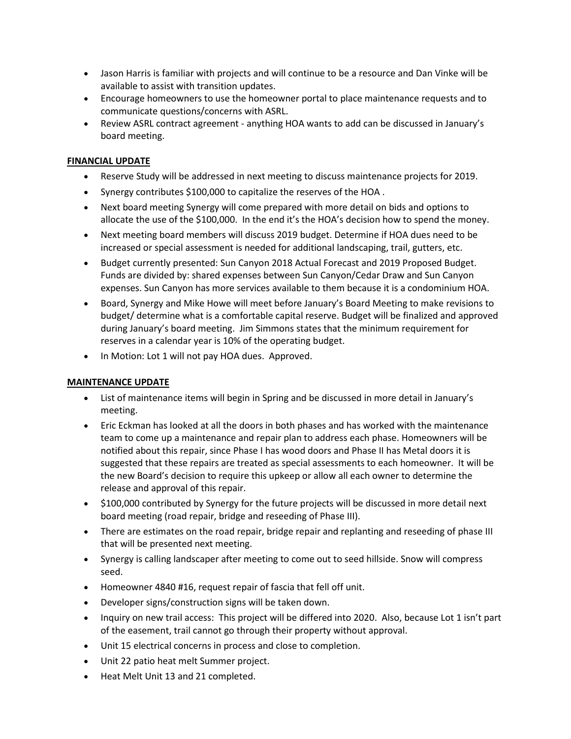- Jason Harris is familiar with projects and will continue to be a resource and Dan Vinke will be available to assist with transition updates.
- Encourage homeowners to use the homeowner portal to place maintenance requests and to communicate questions/concerns with ASRL.
- Review ASRL contract agreement anything HOA wants to add can be discussed in January's board meeting.

#### **FINANCIAL UPDATE**

- Reserve Study will be addressed in next meeting to discuss maintenance projects for 2019.
- Synergy contributes \$100,000 to capitalize the reserves of the HOA .
- Next board meeting Synergy will come prepared with more detail on bids and options to allocate the use of the \$100,000. In the end it's the HOA's decision how to spend the money.
- Next meeting board members will discuss 2019 budget. Determine if HOA dues need to be increased or special assessment is needed for additional landscaping, trail, gutters, etc.
- Budget currently presented: Sun Canyon 2018 Actual Forecast and 2019 Proposed Budget. Funds are divided by: shared expenses between Sun Canyon/Cedar Draw and Sun Canyon expenses. Sun Canyon has more services available to them because it is a condominium HOA.
- Board, Synergy and Mike Howe will meet before January's Board Meeting to make revisions to budget/ determine what is a comfortable capital reserve. Budget will be finalized and approved during January's board meeting. Jim Simmons states that the minimum requirement for reserves in a calendar year is 10% of the operating budget.
- In Motion: Lot 1 will not pay HOA dues. Approved.

#### **MAINTENANCE UPDATE**

- List of maintenance items will begin in Spring and be discussed in more detail in January's meeting.
- Eric Eckman has looked at all the doors in both phases and has worked with the maintenance team to come up a maintenance and repair plan to address each phase. Homeowners will be notified about this repair, since Phase I has wood doors and Phase II has Metal doors it is suggested that these repairs are treated as special assessments to each homeowner. It will be the new Board's decision to require this upkeep or allow all each owner to determine the release and approval of this repair.
- \$100,000 contributed by Synergy for the future projects will be discussed in more detail next board meeting (road repair, bridge and reseeding of Phase III).
- There are estimates on the road repair, bridge repair and replanting and reseeding of phase III that will be presented next meeting.
- Synergy is calling landscaper after meeting to come out to seed hillside. Snow will compress seed.
- Homeowner 4840 #16, request repair of fascia that fell off unit.
- Developer signs/construction signs will be taken down.
- Inquiry on new trail access: This project will be differed into 2020. Also, because Lot 1 isn't part of the easement, trail cannot go through their property without approval.
- Unit 15 electrical concerns in process and close to completion.
- Unit 22 patio heat melt Summer project.
- Heat Melt Unit 13 and 21 completed.